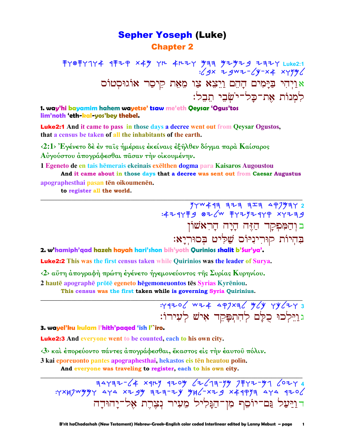## **Sepher Yoseph (Luke) Chapter 2**

手Y® <sup>푸</sup> Y 7H 4H 7H 4H 7Y 9 7H 9H 9H 9H 9H 7H 2Uke2:1<br>29x + 9w + - (y-x 4 x y 9y); אַוַיְהִי בַּיָּמִים הָהֵם וַיֵּצֵא צַוּ מֵאֵת קִיסַר אוֹגוּסְטוֹס למנות את־כל־ישבי תבל:

1. way'hi bayamim hahem wayetse' tsaw me'eth Qeysar 'Ogus'tos lim'noth 'eth-kal-yos'bey thebel.

**Luke2:1** And it came to pass in those days a decree went out from Qeysar Ogustos, that a census be taken of all the inhabitants of the earth.

<2:1> Έγένετο δέ έν ταις ήμέραις έκείναις έξηλθεν δόγμα παρά Καίσαρος Αύγούστου άπογράφεσθαι πάσαν την οίκουμένην.

1 Egeneto de en tais hēmerais ekeinais exelthen dogma para Kaisaros Augoustou And it came about in those days that a decree was sent out from Caesar Augustus

apographesthai pasan tēn oikoumenēn.

to register all the world.

 $74W499$   $773$   $97999$ :4244 + 9 82 / 4 + 7292444 x4239 בּוְהַמִּפְקָך הַזֶּה הָיָה הָרִאֹשׁוֹן בְהִיוֹת קוּרִינִיּוֹם שַׁלִּיט בְּסוּרְיָא:

2. w'hamiph'qad hazeh hayah hari'shon bih'yoth Qurinios shalit b'Sur'ya'.

**Luke2:2** This was the first census taken while Quirinios was the leader of Surva.

<2> αύτη άπογραφή πρώτη έγένετο ήγεμονεύοντος της Συρίας Κυρηνίου.

2 hautē apographē prōtē egeneto hēgemoneuontos tēs Syrias Kyrēniou.

This census was the first taken while is governing Syria Ouirinius.

: 4420 6 w 7 4 4 97 x 3 6 4 6 7 8 4 7 8 גוַיֵּלְכוּ כִלַּם לְהִתְפַּקֵד אָישׁ לְעָירוֹ:

#### 3. wayel'ku kulam l'hith'paqed 'ish l'`iro.

**Luke2:3** And everyone went to be counted, each to his own city.

<3> και έπορεύοντο πάντες απογράφεσθαι, έκαστος είς την έαυτου πόλιν.

3 kai eporeuonto pantes apographesthai, hekastos eis tēn heautou polin.

And everyone was traveling to register, each to his own city.

דוַיַּעַל גַּם־יוֹסֵף מִן־הַגַּלִיל מֶעִיר נִצֶרֶת אָל־יַהוּדַה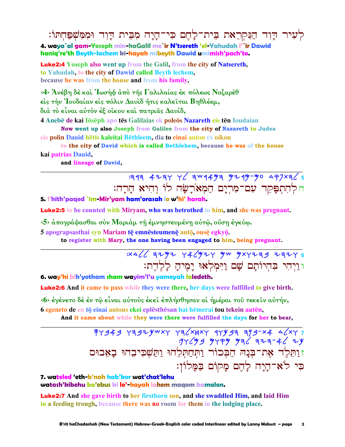לְעִיר דָוִד הַנִּקְרֵאת בֵית־לָחֶם כִּי־הָיָה מִבִּית דַוִד וּמִמְשָׁפַּחִתּוֹ: 4. waya`al gam-Yoseph min-haGalil me`ir N'tsereth 'el-Yahudah l'`ir Dawid haniq're'th Beyth-lachem ki-hayah mibeyth Dawid umimish'pach'to.

**Luke2:4** Yoseph also went up from the Galil, from the city of Natsereth, to Yahudah, to the city of Dawid called Beyth lechem, because he was from the house and from his family,

<4> Άνέβη δὲ καὶ Ἰωσὴφ ἀπὸ τῆς Γαλιλαίας ἐκ πόλεως Ναζαρὲθ είς την Ιουδαίαν είς πόλιν Δαυίδ ήτις καλείται Βηθλέεμ, διά το είναι αύτον έξ οίκου και πατριας Δαυίδ,

4 Anebē de kai lōsēph apo tēs Galilaias ek poleōs Nazareth eis tēn Ioudaian Now went up also Joseph from Galilee from the city of Nazareth to Judea

eis polin Dauid hētis kaleitai Bēthleem, dia to einai auton ex oikou

to the city of David which is called Bethlehem, because he was of the house kai patrias Dauid,

and lineage of David,

# $4734776$  4234 46 3 3 4453 4464 4464 4464 447 הלְהִתְפָּקֵד עִם־מִרְיָם הַמְאֹרָשָׂה לוֹ וְהִיא הַרַה:

5. l'hith'paged `im-Mir'yam ham'orasah lo w'hi' harah.

**Luke2:5** to be counted with Mirvam, who was betrothed to him, and she was pregnant.

<5> άπογράψασθαι σύν Μαριάμ τη έμνηστευμένη αύτω, ούση έγκύω.

5 apograpsasthai syn Mariam tē emnēsteumenē autō, ousē egkvō.

to register with Mary, the one having been engaged to him, being pregnant.

## $33426$  3292 446924 yw yxyzzz 33246 ו וַיְהִי בְּהִיוֹתֵם שֵׁם וַיִּמְלְאוּ יַמֵיהַ לַלֶּהֵת:

6. way'hi bih'yotham sham wayim'l'u yameyah laledeth.

**Luke2:6** And it came to pass while they were there, her days were fulfilled to give birth.

«6» έγένετο δέ έν τῷ εἶναι αὐτοὺς ἐκεῖ ἐπλήσθησαν αἱ ἡμέραι τοῦ τεκεῖν αὐτήν, 6 egeneto de en tō einai autous ekei eplēsthēsan hai hēmerai tou tekein autēn,

And it came about while they were there were fulfilled the days for her to bear,

# $774949$   $79797$   $7972$   $7972$   $79797$   $7997$   $79797$   $79797$ עָׁבּ 47- דִּבּדּ 47 עִׁאִיֹּע עִׁקִיֹּע *בּעֹיֲ*קִיּנִי<br>זוַהְגַלֵר אָת־בִּנָהּ הַבְּכוֹר וַתְּחַתְּלֵהוּ וַתְּשְׁכִיּבֶהוּ בָאָבוּס כִּי לֹאדהַיַה לַהֵם מַקוֹם בַּמַּלוֹן:

#### 7. wateled eth-b'nah hab'kor wat'chat'lehu watash'kibehu ba'ebus ki lo'-hayah lahem magom bamalon.

**Luke2:7** And she gave birth to her firstborn son, and she swaddled Him, and laid Him in a feeding trough, because there was no room for them in the lodging place.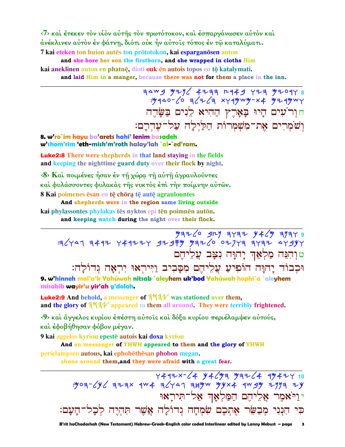$\langle 7 \rangle$  και έτεκεν τον υίον αύτης τον πρωτότοκον, και έσπαργάνωσεν αυτον και άνέκλινεν αὐτὸν ἐν φάτνῃ, διότι οὐκ ἦν αὐτοῖς τόπος ἐν τῷ καταλύματι. 7 kai eteken ton huion autes ton prototokon, kai esparganosen auton and she bore her son the firstborn, and she wrapped in cloths Him kai aneklinen auton en phatnē, dioti ouk en autois topos en tō katalymati.

and laid Him in a manger, because there was not for them a place in the inn.

FAWS 421/ 4277 2449 Y27 9209Y 8 : 440- 10 317 13 xyq4w4-x4 4744wy חור עים היו בארץ ההיא ליים בשרה וְשֹׁמְרִים אֶת־מִשָׁמְרוֹת הַלַּיִלָה עַל־עָדְרָם:

8. w'ro`im hayu ba'arets hahi' lenim basadeh w'shom'rim 'eth-mish'm'roth halay'lah `al-`ed'ram.

**Luke2:8** There were shepherds in that land staying in the fields and keeping the nighttime guard duty over their flock by night.

<8> Και ποιμένες ήσαν έν τη χώρα τη αύτη άγραυλούντες και φυλάσσοντες φυλακας της νυκτος έπι την ποίμνην αυτών. 8 Kai poimenes ēsan en tē chōra tē autē agraulountes

And shepherds were in the region same living outside

kai phylassontes phylakas tēs nyktos epi tēn poimnēn autōn.

and keeping watch during the night over their flock.

 $\frac{1}{5}$  = 1747 + 1747 + 1747 + 1747 + 1747 + 1747 + 1747 + 1747 + 1747 + 1747 + 1747 + 1747 טוִהְנֵּה מַלְאַךְ יָהוָּה נִצָּב עֲלֵיהֵם וּכְבוֹד יַחוַּה הוֹפִיעַ עֲלֵיהֶם מִסֲבִיב וַיִּירִאוּ יְרִאֲה גִדוֹלַה:

9. w'hinneh mal'a'k Yahúwah nitsab `aleyhem uk'bod Yahúwah hophi`a `aleyhem misabib wayir'u yir'ah g'dolah.

**Luke2:9** And behold, a messenger of  $3\frac{1}{4}$  was stationed over them, and the glory of 3734 appeared to them all around. They were terribly frightened.

<9> και άγγελος κυρίου έπέστη αύτοις και δόξα κυρίου περιέλαμψεν αύτούς, και έφοβήθησαν φόβον μέγαν.

9 kai aggelos kyriou epestē autois kai doxa kyriou

And an messenger of YHWH appeared to them and the glory of YHWH

perielampsen autous, kai ephobēthēsan phobon megan.

shone around them, and they were afraid with a great fear.

 $7472 \times 64 \times 946 \times 9464$ : yell + 307-844 yell + 307-844 yell + 307-804. י<u>וי</u>אמר אַלִיהֵם הַמַּלְאָד אַל־תִּירָאוּ כִּי הִנְנִי מְבַשֵּׂר אֵתְכֶם שִׂמְחָה גִדוֹלַה אֲשֶׁר תְּהְיֵה לְכַל־הַעַם: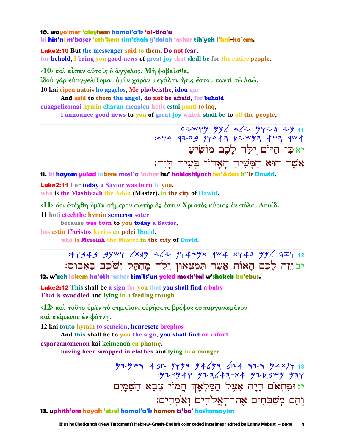#### 10. wayo'mer 'aleyhem hamal'a'k 'al-tira'u ki hin'ni m'baser 'eth'kem sim'chah g'dolah 'asher tih'yeh l'kal-ha`am.

**Luke2:10** But the messenger said to them, Do not fear, for behold, I bring you good news of great joy that shall be for the entire people.

 $\langle 10 \rangle$  και είπεν αύτοις ο άγγελος, Μή φοβεισθε, ίδού γάρ εὐαγγελίζομαι ὑμῖν χαρὰν μεγάλην ἥτις ἔσται παντὶ τῷ λαῶ, 10 kai eipen autois ho aggelos, Mē phobeisthe, idou gar

And said to them the angel, do not be afraid, for behold euaggelizomai hymin charan megalēn hētis estai panti tō laō.

I announce good news to you of great joy which shall be to all the people,

07 WYY YY 64 YY77 74 11 :444 9709 94443 87 WH 443 944 יאכִי הַיּוֹם יִלַּד לַכֶם מוֹשִׂיעַ אֲשֶׁר הוּא הַמָּשִׁיהַ הָאֲדוֹן בִּעִיר הַוְד:

11. ki hayom yulad lakem mosi`a 'asher hu' haMashiyach ha'Adon b'`ir Dawid.

**Luke2:11** For today a Savior was born to you, who is the Mashivach the Adon (Master), in the city of Dawid.

 $\langle 11 \rangle$  ότι έτέχθη ύμιν σήμερον σωτήρ ός έστιν Χριστός κύριος έν πόλει Δαυίδ.

11 hoti etechthē hymin sēmeron sōtēr

because was born to you today a Savior,

hos estin Christos kyrios en polei Dauid.

who is Messiah the Master in the city of David.

: FY 949 9YWY  $\sqrt{x}$  yy 4 $\sqrt{x}$  yy 4ryx 4W 4 xy 43 yy  $\sqrt{x}$  3  $\sqrt{x}$  12 יבוזה לַכֶם הַאוֹת אֲשֶׁר תִּמְצְאוּן יֵלֵד מַחִתַּל וְשֹׁכֶב בַּאֲבוּם:

12. w'zeh lakem ha'oth 'asher tim'ts'un yeled mach'tal w'shokeb ba'ebus.

**Luke2:12** This shall be a sign for you that you shall find a baby That is swaddled and lying in a feeding trough.

<12> και τούτο ύμιν το σημείον, ευρήσετε βρέφος έσπαργανωμένον

και κείμενον έν φάτνη.

12 kai touto hymin to sēmeion, heurēsete brephos

And this shall be to you the sign, you shall find an infant

esparganomenon kai keimenon en phatne.

having been wrapped in clothes and lying in a manger.

יג וּפִתְאֹם הָיָה אֵצֶל הַמַּלְאָךְ הַמוֹן צִבָא הַשַּׁמַיִם וְהֵם מִשָׁבְחִים אֶת־הַאֱלֹהִים וְאֹמְרִים: 13. uphith'om hayah 'etsel hamal'a'k hamon ts'ba' hashamayim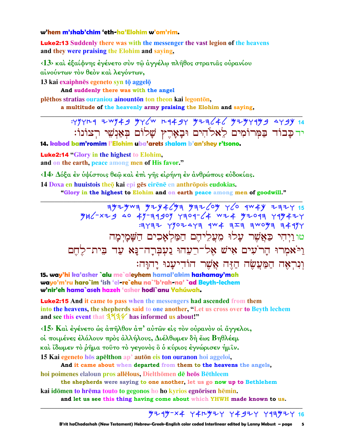#### w'hem m'shab'chim 'eth-ha'Elohim w'om'rim.

**Luke2:13** Suddenly there was with the messenger the vast legion of the heavens and they were praising the Elohim and saying,

<13> και έξαίφνης έγένετο συν τω άγγέλω πλήθος στρατιας ουρανίου αίνούντων τον θεόν και λεγόντων,

13 kai exaiphnēs egeneto syn tō aggelō

And suddenly there was with the angel

plēthos stratias ouraniou ainounton ton theon kai legonton,

a multitude of the heavenly army praising the Elohim and saying,

: YYYH4 ZWY 49 YY (W H449Y YZZ 46 YZYY4Y9 AY 9Y 14 יד כַבוֹד בַמִּרוֹמִים לֵאלֹהִים וּבָאָרֵץ שָׁלוֹם בְּאַנְשֵׁי רְצוֹנוֹ:

14. kabod bam'romim l'Elohim uba'arets shalom b'an'shey r'tsono.

**Luke2:14 "Glory in the highest to Elohim,** and on the earth, peace among men of His favor."

<14> Δόξα έν υψίστοις θεώ και έπι γής ειρήνη έν ανθρώποις εύδοκίας.

14 Doxa en huuistois theo kai epi ges eirene en anthropois eudokias.

"Glory in the highest to Elohim and on earth peace among men of goodwill."

 $79772$   $7907473$   $4W4$   $3Z3$   $3W0\%$   $3449$ טו ויהי כַּאֲשֶׁר עַלוּ מְעַלִיהֵם הַמַּלְאָכִים הַשַּׁמַיִמַה וַיֹּאמִרוּ הָרֹעִים אִישׁ אֵל־רֵעֵהוּ נַעִבְרַה־נַּא עַד בִּית־לַחֵם וְנִרְאָה הַמַּעֲשֶׂה הַזֶּה אֲשֶׁר הוֹדְיעַנוּ יַהוַּה:

15. way'hi ka'asher `alu me`aleyhem hamal'akim hashamay'mah wavo'm'ru haro`im 'ish 'el-re`ehu na`'b'rah-na' `ad Beyth-lechem w'nir'eh hama`aseh hazeh 'asher hodi`anu Vahúwah.

**Luke2:15** And it came to pass when the messengers had ascended from them into the heavens, the shepherds said to one another, "Let us cross over to Beyth lechem and see this event that 3734 has informed us about!"

 $\langle 15 \rangle$  Και έγένετο ώς άπήλθον άπ' αύτων είς τον ούρανον οι άγγελοι, οί ποιμένες έλάλουν πρός άλλήλους, Διέλθωμεν δή έως Βηθλέεμ καὶ ἴδωμεν τὸ ῥῆμα τοῦτο τὸ γεγονὸς ὃ ὁ κύριος ἐγνώρισεν ἡμῖν.

15 Kai egeneto hōs apelthon ap' autōn eis ton ouranon hoi aggeloi,

And it came about when departed from them to the heavens the angels, hoi poimenes elaloun pros allelous, Dielthōmen dē heōs Bēthleem

the shepherds were saying to one another, let us go now up to Bethlehem

kai idōmen to hrēma touto to gegonos ho ho kyrios egnōrisen hēmin. and let us see this thing having come about which YHWH made known to us.

## $9749 - 84$   $74197$   $7497$   $7497$   $79997$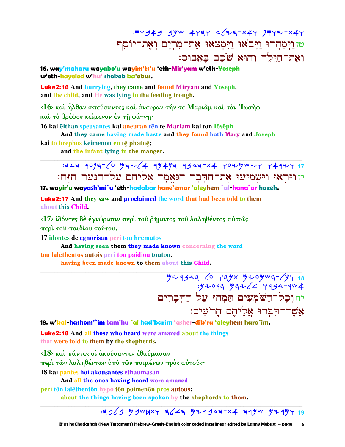: FY 949 9YW 4Y 3Y 4 47 3-X4Y 7 FY 7-X4Y טזוַיִּמַּהֲרוּ וַיָּבֹאוּ וַיִּמְצִאוּ אֶת־מִרְיָם וְאֶת־יוֹסֵף וְאֵת־הַיֶּלֶד וְהוּא שֹׁכֶב בַּאֲבוּס:

16. way'maharu wayabo'u wayim'ts'u 'eth-Mir'yam w'eth-Yoseph w'eth-haveled w'hu' shokeb ba'ebus.

**Luke2:16** And hurrying, they came and found Miryam and Yoseph, and the child, and He was lying in the feeding trough.

<16> και ήλθαν σπεύσαντες και άνεῦραν τήν τε Μαριὰμ και τὸν Ἰωσήφ καὶ τὸ βρέφος κείμενον ἐν τῆ φάτνη·

16 kai elthan speusantes kai aneuran ten te Mariam kai ton loseph

And they came having made haste and they found both Mary and Joseph

kai to brephos keimenon en tē phatnē;

and the infant lying in the manger.

יז וַיִּרְאוּ וַיַּשְׁמִיעוּ אֶת־הַדָּבָר הַנִּאֵמַר אַלִיהֵם עַל־הַנַּעַר הַזִּה: 17. wayir'u wayash'mi`u 'eth-hadabar hane'emar 'aleyhem `al-hana`ar hazeh.

**Luke2:17** And they saw and proclaimed the word that had been told to them about this Child.

<17> ίδόντες δέ έγνώρισαν περί του ρήματος του λαληθέντος αύτοις περί του παιδίου τούτου.

17 idontes de egnorisan peri tou hrematos

And having seen them they made known concerning the word tou lalethentos autois peri tou paidiou toutou.

having been made known to them about this Child.

81 743-430904 x447 0) 13444 יח וִכָל־הַשֹּׁמְעִים תַּמְהוּ עַל הַדִּבָרִים אֲשֶׁר־דִּבְרוּ אֱלֵיהֵם הַרֹעִים:

18. w'kal-hashom'`im tam'hu `al had'barim 'asher-dib'ru 'aleyhem haro`im.

**Luke2:18** And all those who heard were amazed about the things that were told to them by the shepherds.

<18> και πάντες οι ακούσαντες εθαύμασαν περί τῶν λαληθέντων υπό τῶν ποιμένων πρός αὐτούς· 18 kai pantes hoi akousantes ethaumasan

And all the ones having heard were amazed

peri tōn lalēthentōn hypo tōn poimenōn pros autous;

about the things having been spoken by the shepherds to them.

## $3969$  y gw h x y 3(43 y 24943-x4 34y w y 24y y 19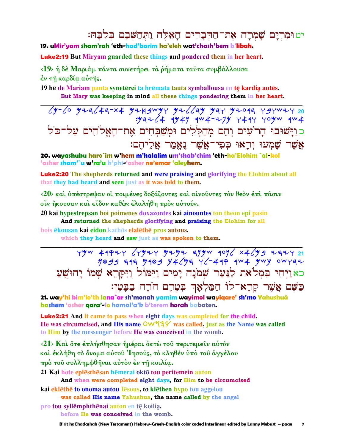יט וּמְרִיַם שַׁמְרַה אֶת־הַדְּבָרִים הַאָּלֶה וַתְּחַשָּׁבֶם בִּלְבַּהּ:

19. uMir'yam sham'rah 'eth-had'barim ha'eleh wat'chash'bem b'libah.

**Luke2:19** But Miryam guarded these things and pondered them in her heart.

<19> ή δέ Μαριάμ πάντα συνετήρει τα ρήματα ταύτα συμβάλλουσα έν τη καρδία αύτης.

19 he de Mariam panta syneterei ta hremata tauta symballousa en te kardia autes. But Mary was keeping in mind all these things pondering them in her heart.

 $\sqrt{y-\angle}$   $\circ$   $\frac{y}{1-\angle}$   $\frac{y}{1-\angle}$   $\frac{y}{1-\angle}$   $\frac{y}{1-\angle}$   $\frac{y}{1-\angle}$   $\frac{y}{1-\angle}$   $\frac{y}{1-\angle}$   $\frac{y}{1-\angle}$   $\frac{y}{1-\angle}$   $\frac{y}{1-\angle}$   $\frac{y}{1-\angle}$   $\frac{y}{1-\angle}$   $\frac{y}{1-\angle}$   $\frac{y}{1-\angle}$   $\frac{y}{1-\angle}$   $\frac{y}{1-\angle}$   $\frac{y}{1-\angle}$   $\$ כּוַיָּשׁוּבוּ הָרֹעִים וְהֵם מְהַלֲלִים וּמִשַׁבְחִים אֵת־הַאֵלֹהִים עַל־כֹּל אֲשֶׁר שָׁמְעוּ וְרָאוּ כִפְי־אֲשֶׁר נֵא<u>ֵמַר א</u>ַלִיהֵם:

20. wayashubu haro`im w'hem m'halalim um'shab'chim 'eth-ha'Elohim `al-kol 'asher sham'`u w'ra'u k'phi-'asher ne'emar 'aleyhem.

**Luke2:20** The shepherds returned and were praising and glorifying the Elohim about all that they had heard and seen just as it was told to them.

<20> και υπέστρεψαν οι ποιμένες δοξάζοντες και αίνουντες τον θεόν έπι πασιν οίς ήκουσαν και είδον καθώς έλαλήθη πρός αύτούς.

20 kai hypestrepsan hoi poimenes doxazontes kai ainountes ton theon epi pasin And returned the shepherds glorifying and praising the Elohim for all

hois ekousan kai eidon kathos elalethe pros autous.

which they heard and saw just as was spoken to them.

 $Y''$   $49927$   $CY''$   $797$   $97''$   $79''$   $90\%$   $x4\%$   $9$   $777$   $21$ :1044 313 4104 44 43 4 - 444 4W 4 4W 9 0W 437 כאַוַיִהִי בִּמְלֹאת לַנַּעַר שִׁמֹנָה יָמִים וַיִּמּוֹל וַיִּקַרְא שִׁמוֹ יָהוּשָׁעַ כַּשֵׁם אֲשֵׁר קַרָא־לוֹ הַמַּלְאָךְ בְטֶרֶם הוֹרָה בַבָּטֶן:

21. way'hi bim'lo'th lana`ar sh'monah yamim wayimol wayiqare' sh'mo Yahushuà kashem 'asher gara'-lo hamal'a'k b'terem horah babaten.

**Luke2:21** And it came to pass when eight days was completed for the child, He was circumcised, and His name  $\mathsf{OW44V}$  was called, just as the Name was called to Him by the messenger before He was conceived in the womb.

<21> Και ότε έπλήσθησαν ήμέραι όκτω του περιτεμείν αύτον καὶ ἐκλήθη τὸ ὄνομα αὐτοῦ Ἰησοῦς, τὸ κληθὲν ὑπὸ τοῦ ἀγγέλου πρό του συλλημφθήναι αύτον έν τη κοιλία.

21 Kai hote eplēsthēsan hēmerai oktō tou peritemein auton And when were completed eight days, for Him to be circumcised

kai eklēthē to onoma autou lēsous, to klēthen hypo tou aggelou was called His name Yahushua, the name called by the angel

pro tou syllemphthenai auton en te koilia.

before He was conceived in the womb.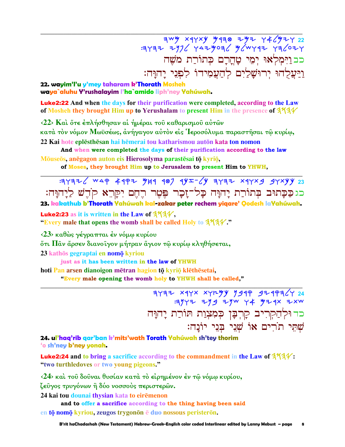$744 \times 444 \times 444 = 22$  FV4- 446 EPM X 1976 YAYAY 22 כב וַיִּמְלְאוּ יְמֵי טַחֲרַם כִּתוֹרַת מֹשֵׁה וַיַּעֲלָהוּ יִרוּשָׁלַיִם לְהַעֲמִידוֹ לִפְנֵי יַהוַּה:

22. wayim'l'u y'mey taharam k'Thorath Mosheh waya`aluhu Y'rushalayim l'ha`amido liph'ney Yahúwah.

**Luke2:22** And when the days for their purification were completed, according to the Law of Mosheh they brought Him up to Yerushalam to present Him in the presence of 3131

<22> Και ότε έπλήσθησαν αι ήμέραι του καθαρισμου αυτών

κατά τον νόμον Μωϋσέως, άνήγαγον αύτον είς Ίεροσόλυμα παραστήσαι τω κυρίω, 22 Kai hote eplēsthēsan hai hēmerai tou katharismou autōn kata ton nomon

And when were completed the days of their purification according to the law Mõuseos, anegagon auton eis Hierosolyma parastēsai tō kvriō,

of Moses, they brought Him up to Jerusalem to present Him to YHWH,

 $737776$  WAP 49PZ 4499 987 94I-64 37972 x97x9 97x44 23 כגכבתוּב בְּתוֹרַת יָהוָּה כָּל־זָכָר פֶּטֶר רֶחֶם יִקָּרֵא קֹדֶשׁ לַיָהוָּה:

23. kakathub b'Thorath Yahúwah kal-zakar peter rechem yigare' Qodesh laYahúwah.

**Luke2:23** as it is written in the Law of  $354$ . "Every male that opens the womb shall be called Holy to  $3434$ ".

 $\langle 23 \rangle$  καθώς γέγραπται έν νόμω κυρίου

δτι Παν άρσεν διανοίγον μήτραν άγιον τω κυρίω κληθήσεται,

23 kathōs gegraptai en nomō kyriou

just as it has been written in the law of YHWH

hoti Pan arsen dianoigon mētran hagion tō kyriō klēthēsetai,

"Every male opening the womb holy to YHWH shall be called,"

 $77772$  x4Yx x4Y<sup>y</sup> 1949 92497424<br>31Y+ 219 92W 44 924x 2xw כד וּלְהַקְרִיב קָרִבָּן כִּמְצָוַת תּוֹרַת יָהוָּה שִׁתֵּי תוֹרִים אוֹ שָׁנֵי בְּנֵי יוֹנַה:

24. ul'haq'rib qar'ban k'mits'wath Torath Yahúwah sh'tey thorim 'o sh'ney b'ney yonah.

**Luke2:24** and to bring a sacrifice according to the commandment in the Law of  $3\frac{4}{4}\%$ . "two turthledoves or two young pigeons."

<24> και του δουναι θυσίαν κατά το είρημένον εν τω νόμω κυρίου,

ζεῦγος τρυγόνων ἢ δύο νοσσοὺς περιστερῶν.

24 kai tou dounai thysian kata to eiremenon

and to offer a sacrifice according to the thing having been said en tō nomō kyriou, zeugos trygonōn ē duo nossous peristerōn.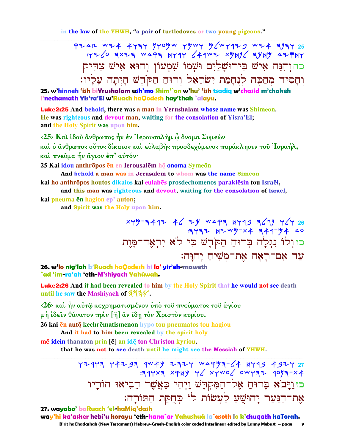in the law of the YHWH, "a pair of turtledoves or two young pigeons."

PZAL WZ4 4777 YYOYW YYWY Y/WY979 WZ4 7/77 25  $Y726$  ax2a wapa  $HY4Y$   $44W2$  xyyy ayyy a2 FHY כהוהִבָּה אִישׁ בִירוּשָׁלַיִם וּשָׁמוֹ שָׁמְעוֹן וְהוּא אִישׁ צַדִּיק וְחַסְיד מְחַכֵּה לְנֵחֲמַת יְשָׂרַאָל וְרוּחַ הַכּוֹדֵשׁ הַיִתַה עַלַיו:

25. w'hinneh 'ish biYrushalam ush'mo Shim'`on w'hu' 'ish tsadiq w'chasid m'chakeh l'nechamath Yis'ra'El w'Ruach haQodesh hay'thah `alayu.

**Luke2:25** And behold, there was a man in Yerushalam whose name was Shimeon. He was righteous and devout man, waiting for the consolation of Yisra'El; and the Holy Spirit was upon him.

 $\langle 25 \rangle$  Και ίδου άνθρωπος ήν έν Ίερουσαλήμ ω όνομα Συμεών και ο άνθρωπος ούτος δίκαιος και εύλαβής προσδεχόμενος παράκλησιν του Ίσραήλ,

και πνεύμα ήν άγιον έπ' αυτόν·

25 Kai idou anthrōpos en en Ierousalem hō onoma Symeon

And behold a man was in Jerusalem to whom was the name Simeon kai ho anthrōpos houtos dikaios kai eulabēs prosdechomenos paraklēsin tou Israēl,

and this man was righteous and devout, waiting for the consolation of Israel,

kai pneuma ēn hagion ep' auton;

and Spirit was the Holy upon him.

xyy-a442 46 2y wapa 4Y49 a619 Y64 26  $37777$   $17.777$   $17.777$   $17.777$   $17.777$   $17.777$   $17.777$   $17.777$   $17.777$   $17.777$   $17.777$   $17.777$   $17.777$   $17.777$   $17.777$   $17.777$   $17.777$   $17.777$   $17.777$   $17.777$   $17.777$   $17.777$   $17.777$   $17.777$   $17.77$ כוןלו נִגְלָה בְּרוּחַ הַקֹּדֵשׁ כִּי לֹא יִרְאָה־מַּוֵת עד אם־ראה את־משיח יהוּה:

26. w'lo nig'lah b'Ruach haQodesh ki lo' yir'eh-maweth `ad 'im-ra'ah 'eth-M'shiyach Yahúwah.

Luke2:26 And it had been revealed to him by the Holy Spirit that he would not see death until he saw the Mashiyach of 3734.

<26> και ήν αύτω κεχρηματισμένον ύπο του πνεύματος του άγίου

μή ίδειν θάνατον πρίν [ἢ] ἂν ἴδη τὸν Χριστὸν κυρίου.

26 kai ēn autō kechrēmatismenon hypo tou pneumatos tou hagiou

And it had to him been revealed by the spirit holy

mē idein thanaton prin [ē] an idē ton Christon kyriou.

that he was not to see death until he might see the Messiah of YHWH.

72 743 4974 442-743 4444 7444 7444 1444 744<br>447-700 46700 4644 4746 7444 7444 7445 כזוַיַּבֹא בָרוּחַ אֶל־הַמְקִדַשׁ וַיִחִי כַּאֲשֶׁר הֵבִיאוּ הוֹרָיו אֶת־הַנַּעַר יַהוּשִׁעַ לַעֲשׂוֹת לוֹ כִּחִקַּת הַתּוֹרַה:

27. wayabo' baRuach 'el-haMiq'dash way'hi ka'asher hebi'u horayu 'eth-hana`ar Yahushuà la`asoth lo k'chugath haTorah. B'rit haChadashah (New Testament) Hebrew-Greek-English color coded Interlinear edited by Lanny Mebust – page  $\mathbf{9}$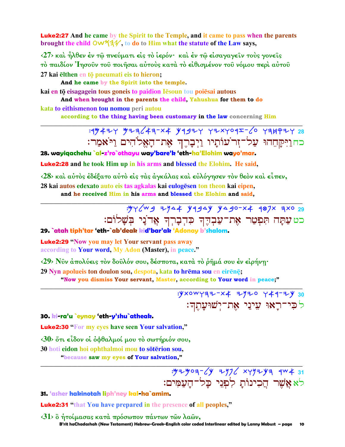Luke2:27 **And he came by the Spirit to the Temple, and it came to pass when the parents brought the child OW534**, to do to Him what the statute of the Law says,

**‹27› καὶ ἦλθεν ἐν τῷ πνεύµατι εἰς τὸ ἱερόν· καὶ ἐν τῷ εἰσαγαγεῖν τοὺς γονεῖς τὸ παιδίον Ἰησοῦν τοῦ ποιῆσαι αὐτοὺς κατὰ τὸ εἰθισµένον τοῦ νόµου περὶ αὐτοῦ** 27 kai elthen en to pneumati eis to hieron;

**And he came by the Spirit into the temple.**

**kai en tō eisagagein tous goneis to paidion I** esoun tou poiesai autous

**And when brought in the parents the child, Yahushua for them to do kata to eithismenon tou nomou peri autou** 

**according to the thing having been customary in the law concerning Him**

### **\_\_\_\_\_\_\_\_\_\_\_\_\_\_\_\_\_\_\_\_\_\_\_\_\_\_\_\_\_\_\_\_\_\_\_\_\_\_\_\_\_\_\_\_\_\_\_\_\_\_\_\_\_\_\_\_\_\_\_\_\_\_\_\_\_\_\_\_\_\_\_\_\_\_\_\_\_\_\_\_\_\_\_\_\_\_\_\_\_\_\_\_\_** :rmayw Myhlah-ta krbyw wytworz-lo whjqyw **28**  בחוַיִּקַחֵהוּ עַל־זִר<sup>י</sup>עוֹתַיו וַיִּבָרֶךְ אֶת־הָאֱלֹהִים וַי<sup>ּ</sup>אַמַר:

**28. wayiqachehu `al-z'ro`othayu way'bare'k 'eth-ha'Elohim wayo'mar.**

Luke2:28 **and he took Him up in his arms and blessed the Elohim. He said,** 

**‹28› καὶ αὐτὸς ἐδέξατο αὐτὸ εἰς τὰς ἀγκάλας καὶ εὐλόγησεν τὸν θεὸν καὶ εἶπεν,**

**\_\_\_\_\_\_\_\_\_\_\_\_\_\_\_\_\_\_\_\_\_\_\_\_\_\_\_\_\_\_\_\_\_\_\_\_\_\_\_\_\_\_\_\_\_\_\_\_\_\_\_\_\_\_\_\_\_\_\_\_\_\_\_\_\_\_\_\_\_\_\_\_\_\_\_\_\_\_\_\_\_\_\_\_\_\_\_\_\_\_\_\_\_**

28 kai autos edexato auto eis tas agkalas kai eulogesen ton theon kai eipen, **and he received Him in his arms and blessed the Elohim and said,** 

> :YYCWS ZYQ# YASAY YASO-X4 907X 3XO 29 כט עַתָּה תִּפְטַר אֶת־עַבְדֶךָ כִּדִבָרִךְ אֲדֹנַי בִּשָׁלוֹם:

**29. `atah tiph'tar 'eth-`ab'deak kid'bar'ak 'Adonay b'shalom.**

Luke2:29 **"Now you may let Your servant pass away according to Your word, My Adon (Master), in peace."** 

**‹29› Νῦν ἀπολύεις τὸν δοῦλόν σου, δέσποτα, κατὰ τὸ ῥῆµά σου ἐν εἰρήνῃ·** 

**29 Nyn apolueis ton doulon sou, despota, kata to hrēma sou en eirēnē;** 

**"Now you dismiss Your servant, Master, according to Your word in peace;" \_\_\_\_\_\_\_\_\_\_\_\_\_\_\_\_\_\_\_\_\_\_\_\_\_\_\_\_\_\_\_\_\_\_\_\_\_\_\_\_\_\_\_\_\_\_\_\_\_\_\_\_\_\_\_\_\_\_\_\_\_\_\_\_\_\_\_\_\_\_\_\_\_\_\_\_\_\_\_\_\_\_\_\_\_\_\_\_\_\_\_\_\_**

:Yxowyaz-x4 zyzo y44-zy 30 ל**ּפִי־רַאוּ עִינַי אָת־יִשׁוּעַ**תִֽדִּ:

#### **30. ki-ra'u `eynay 'eth-y'shu`atheak.**

Luke2:30 **"For my eyes have seen Your salvation,"** 

**‹30› ὅτι εἶδον οἱ ὀφθαλµοί µου τὸ σωτήριόν σου, 30 hoti eidon** hoi ophthalmoi mou **to soterion sou**, **"because saw my eyes of Your salvation,"** 

> : <del>M</del><sub>2</sub> yo 1-12 xyy<sup>1</sup> y xyy<sup>1</sup> y xyy<sup>2</sup> 31 לא אֲשֵׁר הַכִינוֹת לִפְנֵי כַל־הַעֲמִים:

**31. 'asher hakinotah liph'ney kal-ha`amim.**

Luke2:31 **"that You have prepared in the presence of all peoples,"** 

 **B'rit haChadashah (New Testament) Hebrew-Greek-English color coded Interlinear edited by Lanny Mebust – page 10 ‹31› ὃ ἡτοίµασας κατὰ πρόσωπον πάντων τῶν λαῶν,** 

**\_\_\_\_\_\_\_\_\_\_\_\_\_\_\_\_\_\_\_\_\_\_\_\_\_\_\_\_\_\_\_\_\_\_\_\_\_\_\_\_\_\_\_\_\_\_\_\_\_\_\_\_\_\_\_\_\_\_\_\_\_\_\_\_\_\_\_\_\_\_\_\_\_\_\_\_\_\_\_\_\_\_\_\_\_\_\_\_\_\_\_\_\_**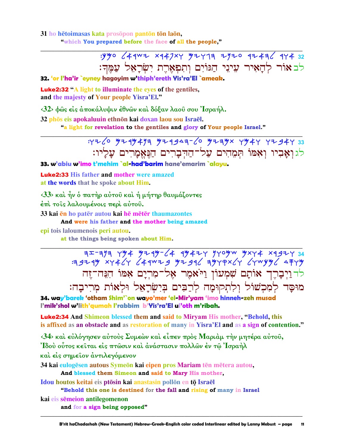31 ho hetoimasas kata prosopon panton ton laon, "which You prepared before the face of all the people,"

> לב אור להאיר עיני הגוים ותפארת ישראל עמד:

32. 'or l'ha'ir `eyney hagoyim w'thiph'ereth Yis'ra'El `ameak.

**Luke2:32 "A light to illuminate the eves of the gentiles,** and the majesty of Your people Yisra'El."

 $\langle 32 \rangle$  φώς είς άποκάλυψιν έθνων και δόξαν λαού σου Ίσραήλ.

32 phōs eis apokaluuin ethnōn kai doxan laou sou Israēl.

"a light for revelation to the gentiles and glory of Your people Israel."



33. w'abiu w'imo t'mehim `al-had'barim hane'emarim `alavu.

**Luke2:33 His father and mother were amazed** at the words that he spoke about Him.

 $\langle 33 \rangle$  και ήν ο πατήρ αύτου και ή μήτηρ θαυμάζοντες

έπι τοις λαλουμένοις περι αύτου.

33 kai en ho pater autou kai he meter thaumazontes

And were his father and the mother being amazed

epi tois laloumenois peri autou.

at the things being spoken about Him.

 $75-777$  +748 x 452 x 452 x 452 x 452 x 454 x 454 x 454 x 454 x 454 x 454 x 454 x 454 x 454 x 454 x 454 x 454 x 454 x 454 x 454 x 454 x 454 x 454 x 454 x 454 x 454 x 454 x 454 x 454 x 454 x 454 x 454 x 454 x 454 x 454 x 4 לדוַיְבָרֶךְ אוֹתָם שִׁמְעוֹן וַיֹּאמֶר אֶל־מִרְיָם אִמּוֹ הִגֲה־זֶה מוּסָָד לְמִכְשׁוֹל וְלִתְקוּמָה לְרַבִּים בִּיְשְׂרָאֵל וּלְאוֹת מִרִיבַה:

34. way'barek 'otham Shim'`on wayo'mer 'el-Mir'yam 'imo hinneh-zeh musad I'mik'shol w'lith'aumah I'rabbim b'Yis'ra'El ul'oth m'ribah.

**Luke2:34** And Shimeon blessed them and said to Miryam His mother, "Behold, this is affixed as an obstacle and as restoration of many in Yisra'El and as a sign of contention."

<34> και εύλόγησεν αύτους Συμεών και είπεν προς Μαριάμ την μητέρα αύτου, Ίδού ούτος κείται είς πτώσιν και ανάστασιν πολλών έν τω Ίσραήλ και είς σημείον άντιλεγόμενον

34 kai eulogēsen autous Symeōn kai eipen pros Mariam tēn mētera autou, And blessed them Simeon and said to Mary His mother,

Idou houtos keitai eis ptōsin kai anastasin pollōn en tō Israēl

"Behold this one is destined for the fall and rising of many in Israel

kai eis sēmeion antilegomenon

and for a sign being opposed"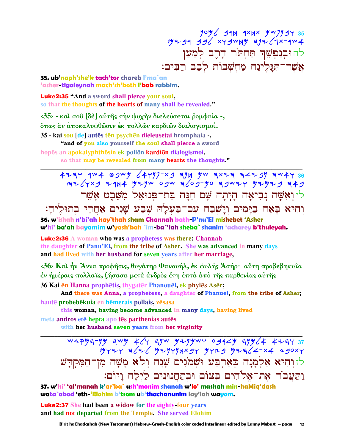$\frac{90\%}{248}$  AH 1XHX  $\frac{y \cdot y}{25}$  35<br> $\frac{y \cdot y}{256}$  AH  $\frac{y \cdot y}{256}$  39 39 45 - 4%. להוּבִנַפְשֶׁךָ תַּחָת<sup>ָ</sup>ר חָרֶב לְמַעַן אַשִׁר־תְּגַלֵינַה מַחִשְׁבוֹת לְבָב רַבִּים:

#### 35. ub'naph'she'k tach'tor chareb l'ma`an 'asher-tigaleynah mach'sh'both l'bab rabbim.

**Luke2:35 "And a sword shall pierce your soul,** so that the thoughts of the hearts of many shall be revealed."

 $\langle 35 \rangle$  - και σου [δέ] αύτης την ψυχήν διελεύσεται ρομφαία -, όπως ἂν άποκαλυφθώσιν έκ πολλών καρδιών διαλογισμοί. 35 - kai sou [de] autēs tēn psychēn dieleusetai hromphaia -,

"and of you also yourself the soul shall pierce a sword

hopōs an apokalyphthōsin ek pollōn kardiōn dialogismoi.

so that may be revealed from many hearts the thoughts."

 $4777$   $404$   $904$   $904$   $904$   $904$   $904$   $904$   $904$   $904$   $904$   $904$   $904$   $904$   $904$   $904$   $904$   $904$   $904$   $904$   $904$   $904$   $904$   $904$   $904$   $904$   $904$   $904$   $904$   $904$   $904$   $904$   $904$   $904$   $904$   $904$   $904$ לו ואָשָׁה נִבִיאָה הָיִתָה שָׁם חַנָּה בַת־פִּנוּאֵל מִשֵּׁבִט אָשֵׁר

וְהִיא בַּאַה בַיַּמִים וְיַשִׁבָה עִם־בַּעָלַה שֶׁבָע שַׁנִים אַחֲרֵי בְתוּלֵיהַ:

36. w'ishah n'bi'ah hay'thah sham Channah bath-P'nu'El mishebet 'Asher w'hi' ba'ah bayamim w'yash'bah `im-ba`'lah sheba` shanim 'acharey b'thuleyah.

**Luke2:36** A woman who was a prophetess was there: Channah the daughter of Panu'El, from the tribe of Asher. She was advanced in many days and had lived with her husband for seven years after her marriage,

 $\langle 36 \rangle$  Καί ήν Άννα προφήτις, θυγάτηρ Φανουήλ, έκ φυλής Άσήρ· αύτη προβεβηκυία έν ήμέραις πολλαῖς, ζήσασα μετὰ ἀνδρὸς ἔτη ἑπτὰ ἀπὸ τῆς παρθενίας αὐτῆς 36 Kai en Hanna prophetis, thygater Phanouel, ek phyles Aser;

And there was Anna, a prophetess, a daughter of Phanuel, from the tribe of Asher; hautē probebēkuia en hēmerais pollais, zēsasa

this woman, having become advanced in many days, having lived meta andros ete hepta apo tēs parthenias autēs

with her husband seven years from her virginity

WAPYE-YY EWY KGY EYW YIYYWY 0914Y EYYCA KIZEYEW<br>HXOEA +x+3FJFJFYY CHY YEXHYYYHXY JF3C+ לזוהיא אלמנה כארבע ושמנים שנה ולא משה מו־המקדש וַתַּעֲבֹד אֶת־אֱלֹהִים בִּצוֹם וּבְתַחֲנוּנִים לַיְלָה וָיוֹם:

37. w'hi' 'al'manah k'ar'ba` ush'monim shanah w'lo' mashah min-haMiq'dash wata`abod 'eth-'Elohim b'tsom ub'thachanunim lay'lah wayom.

**Luke2:37** She had been a widow for the eighty four years and had not departed from the Temple. She served Elohim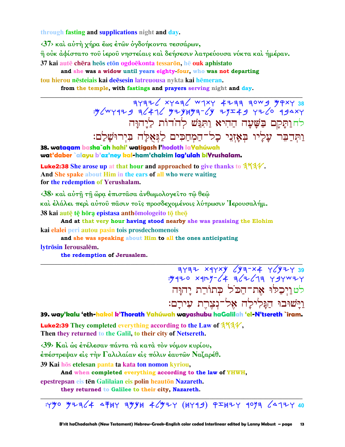through fasting and supplications night and day.

<37> και αύτή χήρα έως έτων όγδοήκοντα τεσσάρων,

ή οὐκ ἀφίστατο τοῦ ἱεροῦ νηστείαις καὶ δεήσεσιν λατρεύουσα νύκτα καὶ ἡμέραν.

37 kai autē chēra heos eton ogdoēkonta tessaron, hē ouk aphistato

and she was a widow until years eighty four, who was not departing

tou hierou nēsteiais kai deēsesin latreuousa nykta kai hēmeran.

from the temple, with fastings and prayers serving night and day.

 $\frac{38}{17776}$  PXP WOF FFF4 YXPW SFAYX STFFF USAYS. לחותקם בשׁעָה הַהִיא וַתְּגַּשׁ לְהֹדוֹת לַיַהוַּה וַתְּדַבֵּר עָלְיוּ בְאָזְנֵי כָל־הַמְחַכִּים לַגְּאֻלָּה בִּיִרוּשָׁלַם:

38. wataaam basha`ah hahi' watigash Phodoth laYahúwah wat'daber `alayu b'az'ney kal-ham'chakim lag'ulah biYrushalam.

**Luke2:38** She arose up at that hour and approached to give thanks to  $3\frac{1}{4}\sqrt{\frac{1}{1}}$ . And She spake about Him in the ears of all who were waiting for the redemption of Yerushalam.

<38> και αύτη τη ώρα έπιστασα ανθωμολογείτο τω θεω καὶ ἐλάλει περὶ αὐτοῦ πᾶσιν τοῖς προσδεχομένοις λύτρωσιν Ἰερουσαλήμ. 38 kai autę tę horą epistasa anthomologeito to theo

And at that very hour having stood nearby she was prasising the Elohim kai elalei peri autou pasin tois prosdechomenois

and she was speaking about Him to all the ones anticipating

lytrōsin Ierousalēm.

the redemption of Jerusalem.

1797 x47xy 443-x4 74427 39<br>3437 734: 4 7426 x4127-4 <u>לטויכלו את־הכל כתורת יהוה</u> וַיַּשׁוּבוּ הַגַּלִילַה אָל־נְצֶרֶת עִירָם:

39. way'kalu 'eth-hakol k'Thorath Yahúwah wayashubu haGalilah 'el-N'tsereth `iram.

**Luke2:39** They completed everything according to the Law of  $3\frac{4}{4}\%$ . Then they returned to the Galil, to their city of Netsereth.

<39> Και ως ετέλεσαν πάντα τα κατά τον νόμον κυρίου,

έπέστρεψαν είς την Γαλιλαίαν είς πόλιν έαυτών Ναζαρέθ.

39 Kai hōs etelesan panta ta kata ton nomon kyriou,

And when completed everything according to the law of YHWH,

epestrepsan eis tēn Galilaian eis polin heautōn Nazareth.

they returned to Galilee to their city, Nazareth.

: 490 92364 4 + 494 46924 (449) 92424 9093 64724 40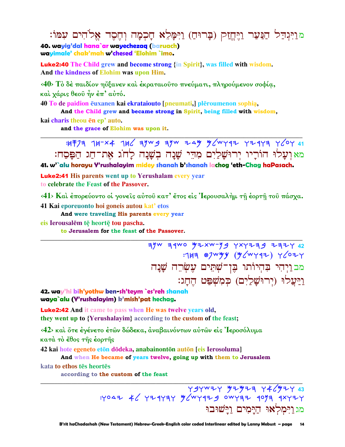מוַיִּגְדַל הַנַּעַר וַיֵּחֵזַק (בָרוּחַ) וַיִּמָּלֵא חָכִמָה וְחֶסֶד אֱלֹהִים עִמּוֹ: 40. wayig'dal hana`ar wayechezag (baruach) wayimale' chak'mah w'chesed 'Elohim `imo.

**Luke2:40** The Child grew and become strong {in Spirit}, was filled with wisdom. And the kindness of Elohim was upon Him.

<40> Το δε παιδίον η έανεν και εκραταιούτο πνεύματι, πληρούμενον σοφία, καί χάρις θεού ήν έπ' αύτό.

40 To de paidion ēuxanen kai ekratajouto [pneumati,] plēroumenon sophia, And the Child grew and became strong in Spirit, being filled with wisdom,

kai charis theou en ep' auto. and the grace of Elohim was upon it.

> $14773$   $14-x4$   $14/$   $39w$  g  $39w$   $3\omega$   $9/2w$  y  $47/3$   $1/20$   $1/2$ מאועלוּ הוֹרֵיו יִרוּשַׁלַיִם מְהֵי שָׁנַה בְשָׁנַה לַחֹג אֶת־חַג הַפַּסַח:

41. w'`alu horayu Y'rushalayim midey shanah b'shanah lachog 'eth-Chag haPasach.

**Luke2:41** His parents went up to Yerushalam every year to celebrate the Feast of the Passover.

<41> Και έπορεύοντο οί γονείς αύτου κατ' έτος είς 'Ιερουσαλήμ τη έορτη του πάσχα.

41 Kai eporeuonto hoi goneis autou kat' etos

And were traveling His parents every year

eis Ierousalēm tē heortē tou pascha.

to Jerusalem for the feast of the Passover.

:143 87WWY (W (W Y 47) Y (07Y מב וַיָּהִי בִּהְיוֹתוּ בֵּוְ־שַׁתֵּים עִשְׂרֶה שַׁנַה <u>ויַעֲלוּ (יִרוּשָׁלַיִם) כִּמְשָׁפַּט הֵחָג</u>:

42. way'hi bih'yothw ben-sh'teym `es'reh shanah waya`alu (Y'rushalayim) k'mish'pat hechag.

**Luke2:42** And it came to pass when He was twelve years old, they went up to {Yerushalayim} according to the custom of the feast;

<42> και ότε έγένετο έτων δώδεκα, αναβαινόντων αυτών είς 'Ιεροσόλυμα κατά τὸ ἔθος της έορτης

42 kai hote egeneto etōn dōdeka, anabainontōn autōn [eis Ierosoluma]

And when He became of years twelve, going up with them to Jerusalem kata to ethos tēs heortēs

according to the custom of the feast

<u>מג וַיְּמָלְאוּ הַיַּמִים וַיַּשׁוּבוּ</u>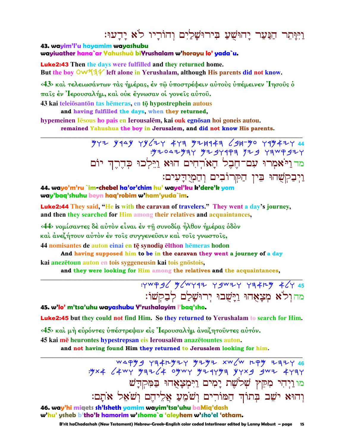# וַיִּוּתֵר הַנַּעַר יַהוּשִׁעַ בִּירוּשַׁלַיִם וְהוֹרֵיו לֹא יַדְעוּ:

43. wayim'l'u hayamim wayashubu wayiuather hana`ar Yahushuà biYrushalam w'horayu lo' yada`u.

**Luke2:43** Then the days were fulfilled and they returned home. But the boy OW534 left alone in Yerushalam, although His parents did not know.

<43> και τελειωσάντων τας ήμέρας, έν τω υποστρέφειν αυτους υπέμεινεν Ίησους ο παΐς έν Ίερουσαλήμ, και ούκ έγνωσαν οι γονείς αύτου.

43 kai teleiōsantōn tas hēmeras, en tō hypostrephein autous and having fulfilled the days, when they returned,

hypemeinen lesous ho pais en Ierousalem, kai ouk egnosan hoi goneis autou. remained Yahushua the boy in Jerusalem, and did not know His parents.

> $777$   $944$   $944$   $796$   $747$   $473$   $97414$   $43$   $947$   $90$   $7994$   $74$   $44$  $.97047979$   $979997977$   $979999$   $199997$ מד ויאמרו עם־חֶבֶל הַאֹרְחִים הוּא וַיֵּלְכוּ כִּהֵרֶךְ יוֹם וַיִּבְקִשָּׁהוּ בִּין הַמְרוֹבִים וְהַמְיֻדְעִים:

44. wayo'm'ru `im-chebel ha'or'chim hu' wayel'ku k'dere'k yom way'baq'shuhu beyn haq'robim w'ham'yuda`im.

**Luke2:44** They said, "He is with the caravan of travelers." They went a day's journey, and then they searched for Him among their relatives and acquaintances,

<44> νομίσαντες δέ αύτον είναι έν τη συνοδία ήλθον ήμέρας όδον και άνεζήτουν αυτόν έν τοις συγγενευσιν και τοις γνωστοις,

44 nomisantes de auton einai en tē synodia ēlthon hēmeras hodon

And having supposed him to be in the caravan they went a journey of a day kai anezētoun auton en tois syggeneusin kai tois gnōstois,

and they were looking for Him among the relatives and the acquaintances,

: YWP 36 W (WY 17 Y 3W 7 Y 34r 4 46Y 45 מהול<sup>י</sup>א מִצָאָהוּ וַיַּשָׁבוּ יִרוּשָׁלַם לִבַקִשׁוֹ:

45. w'lo' m'tsa'uhu wayashubu Y'rushalayim l'baq'sho.

**Luke2:45** but they could not find Him. So they returned to Yerushalam to search for Him.

<45> και μή ευρόντες υπέστρεψαν είς Ιερουσαλήμ αναζητούντες αυτόν.

45 kai mē heurontes hypestrepsan eis Ierousalēm anazētountes auton.

and not having found Him they returned to Jerusalem looking for him.

WAPY 9 YA4KYZY YZYZ XW/W KPY ZAZY 46  $.9\times4$   $\angle$   $4wY$   $997\angle$   $\angle$   $4$  ogwy  $974$   $\angle$   $914$   $\angle$   $9w1$   $\angle$   $4191$ <u>מו ויִהִי מִקֵּץ שָׁלֹשֶׁת יָמִים וַיִּמְצָאָהוּ בַּמְקִדָּשׁ</u> וְהוּא יֹשֶׁב בְּתוֹךְ הַמּוֹרִים וְשֹֹמֶעַ אֲלֵיהֵם וְשֹֹאֵל אֹתָם:

46. way'hi miqets sh'Isheth yamim wayim'tsa'uhu baMiq'dash w'hu' ysheb b'tho'k hamorim w'shome`a 'aleyhem w'sho'el 'otham.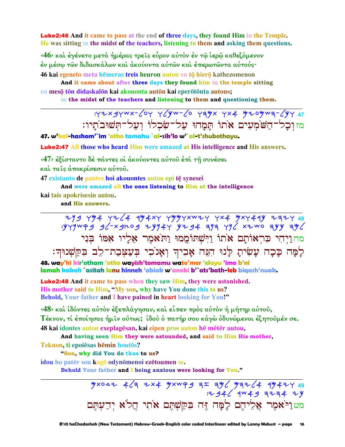Luke2:46 **And it came to pass at the end of three days, they found Him in the Temple. He was sitting in the midst of the teachers, listening to them and asking them questions.** 

**‹46› καὶ ἐγένετο µετὰ ἡµέρας τρεῖς εὗρον αὐτὸν ἐν τῷ ἱερῷ καθεζόµενον ἐν µέσῳ τῶν διδασκάλων καὶ ἀκούοντα αὐτῶν καὶ ἐπερωτῶντα αὐτούς·** 

**46 kai egeneto** meta hēmeras treis heuron auton en tō hierō kathezomenon

**And it came about after three days they found him in the temple sitting en mesō tōn didaskalōn kai akouonta autōn kai eperōtōnta autous;** 

**in the midst of the teachers and listening to them and questioning them. \_\_\_\_\_\_\_\_\_\_\_\_\_\_\_\_\_\_\_\_\_\_\_\_\_\_\_\_\_\_\_\_\_\_\_\_\_\_\_\_\_\_\_\_\_\_\_\_\_\_\_\_\_\_\_\_\_\_\_\_\_\_\_\_\_\_\_\_\_\_\_\_\_\_\_\_\_\_\_\_\_\_\_\_\_\_\_\_\_\_\_\_\_**

:wytbwct-low wlkc-lo whmt wta Myomch-lkw **47**  מזוִכָל־הַשֹּׁמְעִים אֹתוֹ תַּמַהוּ עַל־שִׂכְלוֹ וְעַל־תִּשׁוּבֹתֵיו:

**47. w'kal-hashom'`im 'otho tamahu `al-sik'lo w'`al-t'shubothayu.**

Luke2:47 **All those who heard Him were amazed at His intelligence and His answers.** 

**‹47› ἐξίσταντο δὲ πάντες οἱ ἀκούοντες αὐτοῦ ἐπὶ τῇ συνέσει** 

**καὶ ταῖς ἀποκρίσεσιν αὐτοῦ.** 

**47 existanto de pantes hoi akouontes autou epi tÿ synesei** 

**And were amazed all the ones listening to Him at the intelligence**

**kai tais apokrisesin autou.** 

**and His answers. \_\_\_\_\_\_\_\_\_\_\_\_\_\_\_\_\_\_\_\_\_\_\_\_\_\_\_\_\_\_\_\_\_\_\_\_\_\_\_\_\_\_\_\_\_\_\_\_\_\_\_\_\_\_\_\_\_\_\_\_\_\_\_\_\_\_\_\_\_\_\_\_\_\_\_\_\_\_\_\_\_\_\_\_\_\_\_\_\_\_\_\_\_**

 ynb wma wyla rmatw wmmwtcyw wta Mtwark yhyw **48**   $:$ yyywad  $g$ /-xgrog zyy4y yzg4 aya yy/ xzwo ayy ay/ מחוַיְהִי כִּרְאוֹתָם אֹתוֹ וַיִּשְׁתוֹמֵמוּ וַתֹּאמֵר אֵלֵיו אַמּוֹ בּני לְמָּה כָּכָה עָשִׂיתָ לַנוּ הִגָּה אָבִיךְ וְאָנ<sup>ֹ</sup>כִי בְּעַצִּבַת־לֵב בִּקַשְׁנוּךְ:

**48. way'hi kir'otham 'otho wayish'tomamu wato'mer 'elayu 'imo b'ni lamah kakah `asitah lanu hinneh 'abiak w'anoki b'`ats'bath-leb biqash'nuak.**

Luke2:48 **And it came to pass when they saw Him, they were astonished. His mother said to Him, "My son, why have You done this to us? Behold, Your father and I have pained in heart looking for You!"** 

**‹48› καὶ ἰδόντες αὐτὸν ἐξεπλάγησαν, καὶ εἶπεν πρὸς αὐτὸν ἡ µήτηρ αὐτοῦ, Τέκνον, τί ἐποίησας ἡµῖν οὕτως; ἰδοὺ ὁ πατήρ σου κἀγὼ ὀδυνώµενοι ἐζητοῦµέν σε. 48 kai idontes auton exeplagēsan, kai eipen pros auton hē mētēr autou,** 

**\_\_\_\_\_\_\_\_\_\_\_\_\_\_\_\_\_\_\_\_\_\_\_\_\_\_\_\_\_\_\_\_\_\_\_\_\_\_\_\_\_\_\_\_\_\_\_\_\_\_\_\_\_\_\_\_\_\_\_\_\_\_\_\_\_\_\_\_\_\_\_\_\_\_\_\_\_\_\_\_\_\_\_\_\_\_\_\_\_\_\_\_\_**

**And having seen Him they were astounded, and said to Him His mother,**

**Teknon, ti epoiēsas hēmin** houtos?

**"Son, why did You do thus to us?**

**idou** ho patēr sou kagō odynōmenoi ezētoumen se.

**Behold Your father and I being anxious were looking for You."** 

<u>Mx042 463 Zx4 Mxweg aェ aM6 Maz64 aM</u>4ZY 49 : 2946 9W 49 3234 2Y מטנייֹאמֶר אֲלֵיהֶם לָמָּה זֶּה בִּקַשְׁתֵּם אֹתִי הַלֹּא יִדַעִתֵּם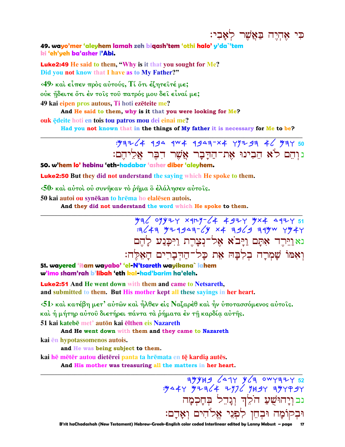כִּי אֵהְיֶה בַּאֲשֶׁר לְאָבִי:

49. wayo'mer 'aleyhem lamah zeh bigash'tem 'othi halo' y'da`'tem ki 'eh'yeh ba'asher l'Abi.

**Luke2:49** He said to them, "Why is it that you sought for Me? Did you not know that I have as to My Father?"

<49> και είπεν προς αύτούς, Τι ότι έζητειτέ με; ούκ ήδειτε ὄτι έν τοῖς τοῦ πατρός μου δεῖ εἶναί με; 49 kai eipen pros autous, Ti hoti ezēteite me?

And He said to them, why is it that you were looking for Me?

ouk edeite hoti en tois tou patros mou dei einai me?

Had you not known that in the things of My father it is necessary for Me to be?

: 1972 (4 194 144 1947-X4 417 17 4 4 / 197 50 נוהם ל'א הבינוּ את־הדַבָּר אַשָׁר הִבֵּר אַלִיהֵם:

50. w'hem lo' hebinu 'eth-hadabar 'asher diber 'aleyhem.

**Luke2:50** But they did not understand the saying which He spoke to them.

 $\langle 50 \rangle$  και αύτοι ου συνήκαν το ρήμα ο έλάλησεν αύτοις.

50 kai autoi ou synēkan to hrēma ho elalēsen autois.

And they did not understand the word which He spoke to them.

 $432$  09424 xqry-64 4924 4x4 4924 51  $=3649$   $= 1949999$   $= 64949$   $= 19699$   $= 1999$ נאַוַיִּרְד אָתָם וַיַּבֹא אָל־נִצָרֶת וַיִּכְּנַע לַהֵם ואמו שמרה בלבה את כל־הדברים האלה:

51. wavered 'itam wavabo' 'el-N'tsareth wavikana` lahem w'imo sham'rah b'libah 'eth kal-had'barim ha'eleh.

**Luke2:51** And He went down with them and came to Netsareth. and submitted to them. But His mother kept all these sayings in her heart.

 $\langle 51 \rangle$  και κατέβη μετ' αύτων και ήλθεν είς Ναζαρέθ και ήν υποτασσόμενος αύτοις.

καὶ ἡ μήτηρ αὐτοῦ διετήρει πάντα τὰ ῥήματα ἐν τῆ καρδία αὐτῆς.

51 kai katebē met' autōn kai ēlthen eis Nazareth

And He went down with them and they came to Nazareth

kai en hypotassomenos autois.

and He was being subject to them.

kai hē mētēr autou dietērei panta ta hrēmata en tē kardia autēs.

And His mother was treasuring all the matters in her heart.

*ופרוער זפון אַרוֹיִבּ* אַ אַבִּּבּע וּצִאַע.<br>נבוְיָהוּשֻׁעַ הֹלֵךְ וְנָרֵל בְּחֲכְמָה וּבְקוֹמָה וּבְחֵן לִפְנֵי אֱלֹהִים וְאָדָם:

 $7994964$   $474964$  owyazy 52